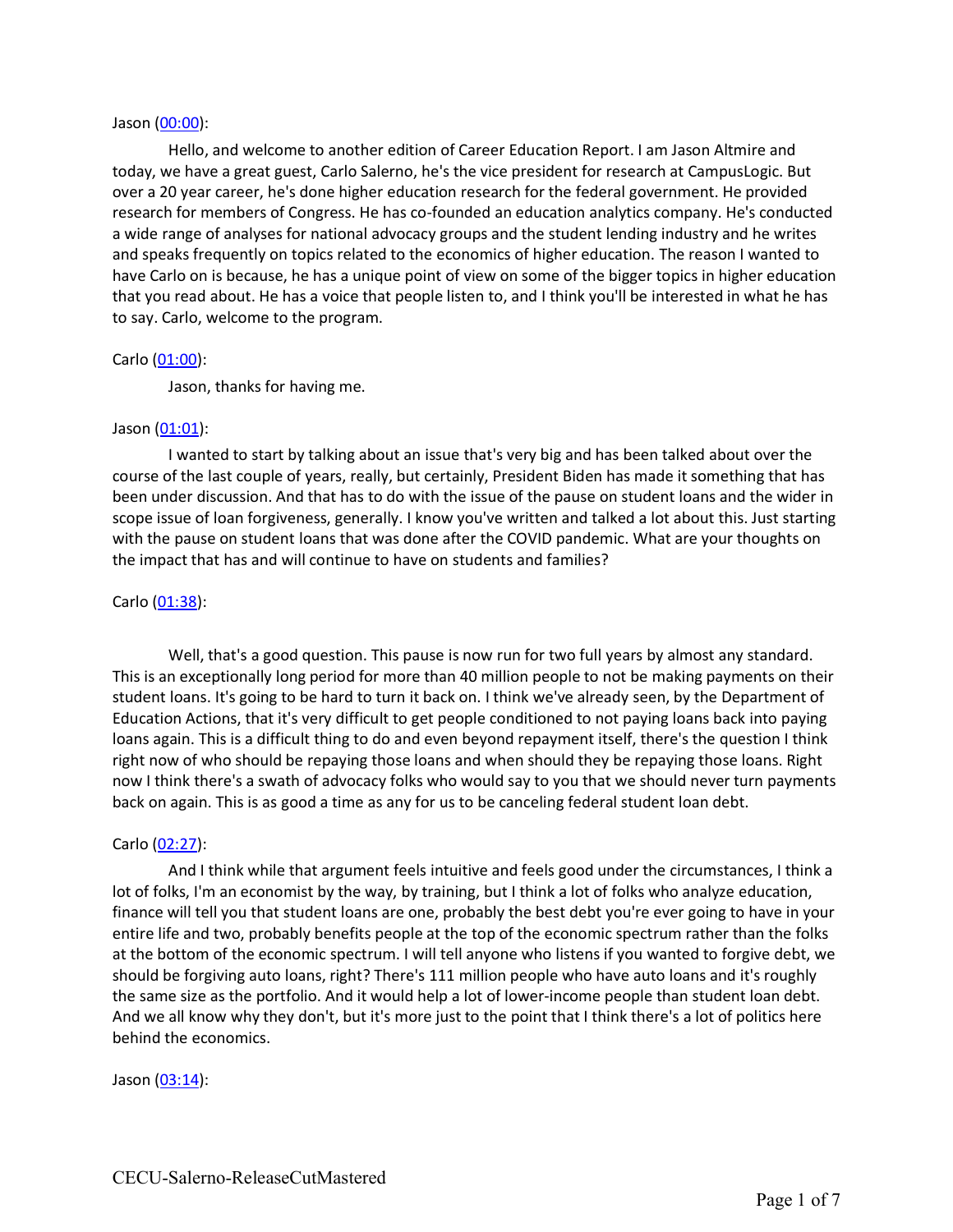#### Jason (00:00):

Hello, and welcome to another edition of Career Education Report. I am Jason Altmire and today, we have a great guest, Carlo Salerno, he's the vice president for research at CampusLogic. But over a 20 year career, he's done higher education research for the federal government. He provided research for members of Congress. He has co-founded an education analytics company. He's conducted a wide range of analyses for national advocacy groups and the student lending industry and he writes and speaks frequently on topics related to the economics of higher education. The reason I wanted to have Carlo on is because, he has a unique point of view on some of the bigger topics in higher education that you read about. He has a voice that people listen to, and I think you'll be interested in what he has to say. Carlo, welcome to the program.

#### Carlo (01:00):

Jason, thanks for having me.

#### Jason (01:01):

I wanted to start by talking about an issue that's very big and has been talked about over the course of the last couple of years, really, but certainly, President Biden has made it something that has been under discussion. And that has to do with the issue of the pause on student loans and the wider in scope issue of loan forgiveness, generally. I know you've written and talked a lot about this. Just starting with the pause on student loans that was done after the COVID pandemic. What are your thoughts on the impact that has and will continue to have on students and families?

### Carlo (01:38):

Well, that's a good question. This pause is now run for two full years by almost any standard. This is an exceptionally long period for more than 40 million people to not be making payments on their student loans. It's going to be hard to turn it back on. I think we've already seen, by the Department of Education Actions, that it's very difficult to get people conditioned to not paying loans back into paying loans again. This is a difficult thing to do and even beyond repayment itself, there's the question I think right now of who should be repaying those loans and when should they be repaying those loans. Right now I think there's a swath of advocacy folks who would say to you that we should never turn payments back on again. This is as good a time as any for us to be canceling federal student loan debt.

#### Carlo (02:27):

And I think while that argument feels intuitive and feels good under the circumstances, I think a lot of folks, I'm an economist by the way, by training, but I think a lot of folks who analyze education, finance will tell you that student loans are one, probably the best debt you're ever going to have in your entire life and two, probably benefits people at the top of the economic spectrum rather than the folks at the bottom of the economic spectrum. I will tell anyone who listens if you wanted to forgive debt, we should be forgiving auto loans, right? There's 111 million people who have auto loans and it's roughly the same size as the portfolio. And it would help a lot of lower-income people than student loan debt. And we all know why they don't, but it's more just to the point that I think there's a lot of politics here behind the economics.

#### Jason (03:14):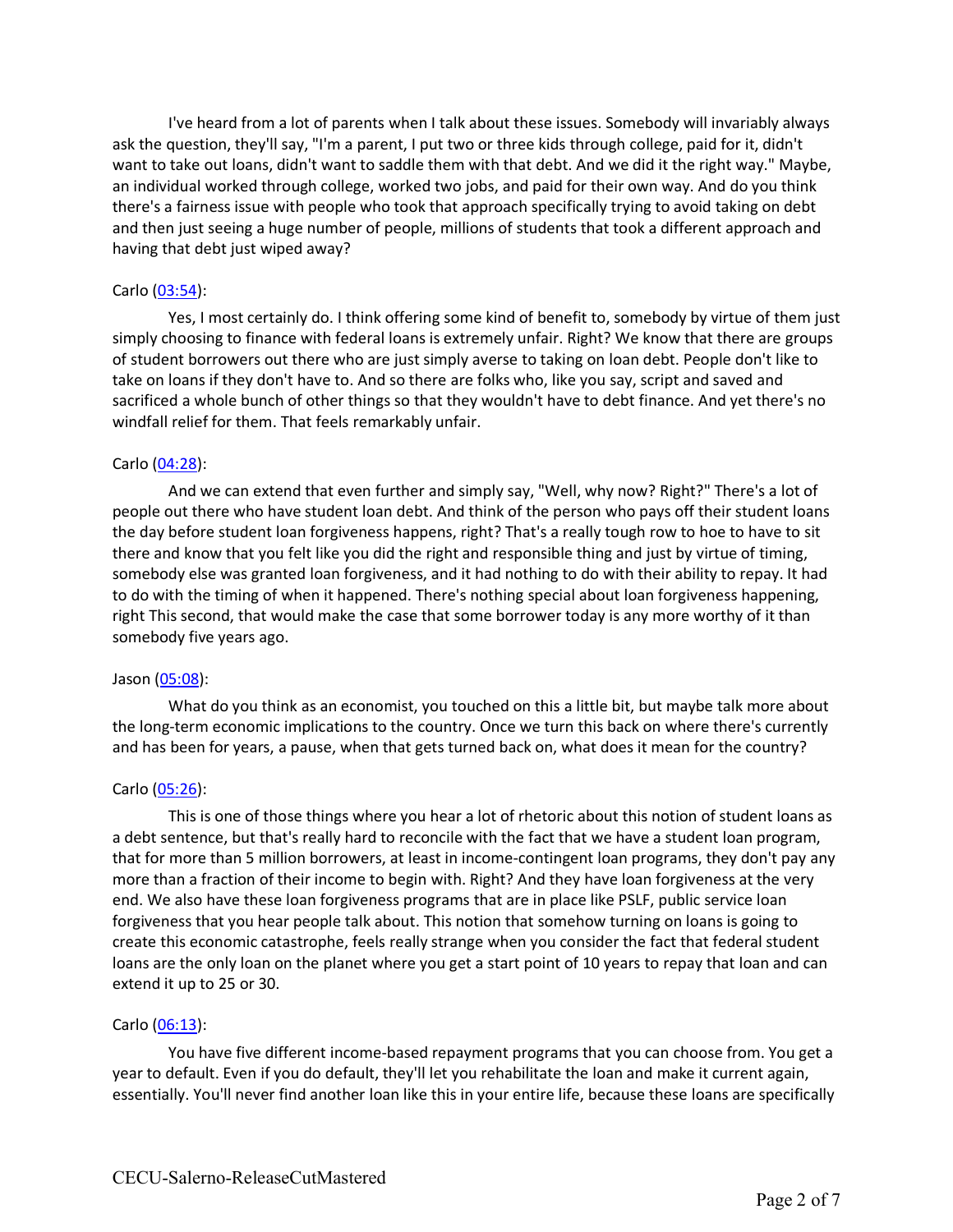I've heard from a lot of parents when I talk about these issues. Somebody will invariably always ask the question, they'll say, "I'm a parent, I put two or three kids through college, paid for it, didn't want to take out loans, didn't want to saddle them with that debt. And we did it the right way." Maybe, an individual worked through college, worked two jobs, and paid for their own way. And do you think there's a fairness issue with people who took that approach specifically trying to avoid taking on debt and then just seeing a huge number of people, millions of students that took a different approach and having that debt just wiped away?

# Carlo (03:54):

Yes, I most certainly do. I think offering some kind of benefit to, somebody by virtue of them just simply choosing to finance with federal loans is extremely unfair. Right? We know that there are groups of student borrowers out there who are just simply averse to taking on loan debt. People don't like to take on loans if they don't have to. And so there are folks who, like you say, script and saved and sacrificed a whole bunch of other things so that they wouldn't have to debt finance. And yet there's no windfall relief for them. That feels remarkably unfair.

### Carlo (04:28):

And we can extend that even further and simply say, "Well, why now? Right?" There's a lot of people out there who have student loan debt. And think of the person who pays off their student loans the day before student loan forgiveness happens, right? That's a really tough row to hoe to have to sit there and know that you felt like you did the right and responsible thing and just by virtue of timing, somebody else was granted loan forgiveness, and it had nothing to do with their ability to repay. It had to do with the timing of when it happened. There's nothing special about loan forgiveness happening, right This second, that would make the case that some borrower today is any more worthy of it than somebody five years ago.

#### Jason (05:08):

What do you think as an economist, you touched on this a little bit, but maybe talk more about the long-term economic implications to the country. Once we turn this back on where there's currently and has been for years, a pause, when that gets turned back on, what does it mean for the country?

# Carlo (05:26):

This is one of those things where you hear a lot of rhetoric about this notion of student loans as a debt sentence, but that's really hard to reconcile with the fact that we have a student loan program, that for more than 5 million borrowers, at least in income-contingent loan programs, they don't pay any more than a fraction of their income to begin with. Right? And they have loan forgiveness at the very end. We also have these loan forgiveness programs that are in place like PSLF, public service loan forgiveness that you hear people talk about. This notion that somehow turning on loans is going to create this economic catastrophe, feels really strange when you consider the fact that federal student loans are the only loan on the planet where you get a start point of 10 years to repay that loan and can extend it up to 25 or 30.

# Carlo (06:13):

You have five different income-based repayment programs that you can choose from. You get a year to default. Even if you do default, they'll let you rehabilitate the loan and make it current again, essentially. You'll never find another loan like this in your entire life, because these loans are specifically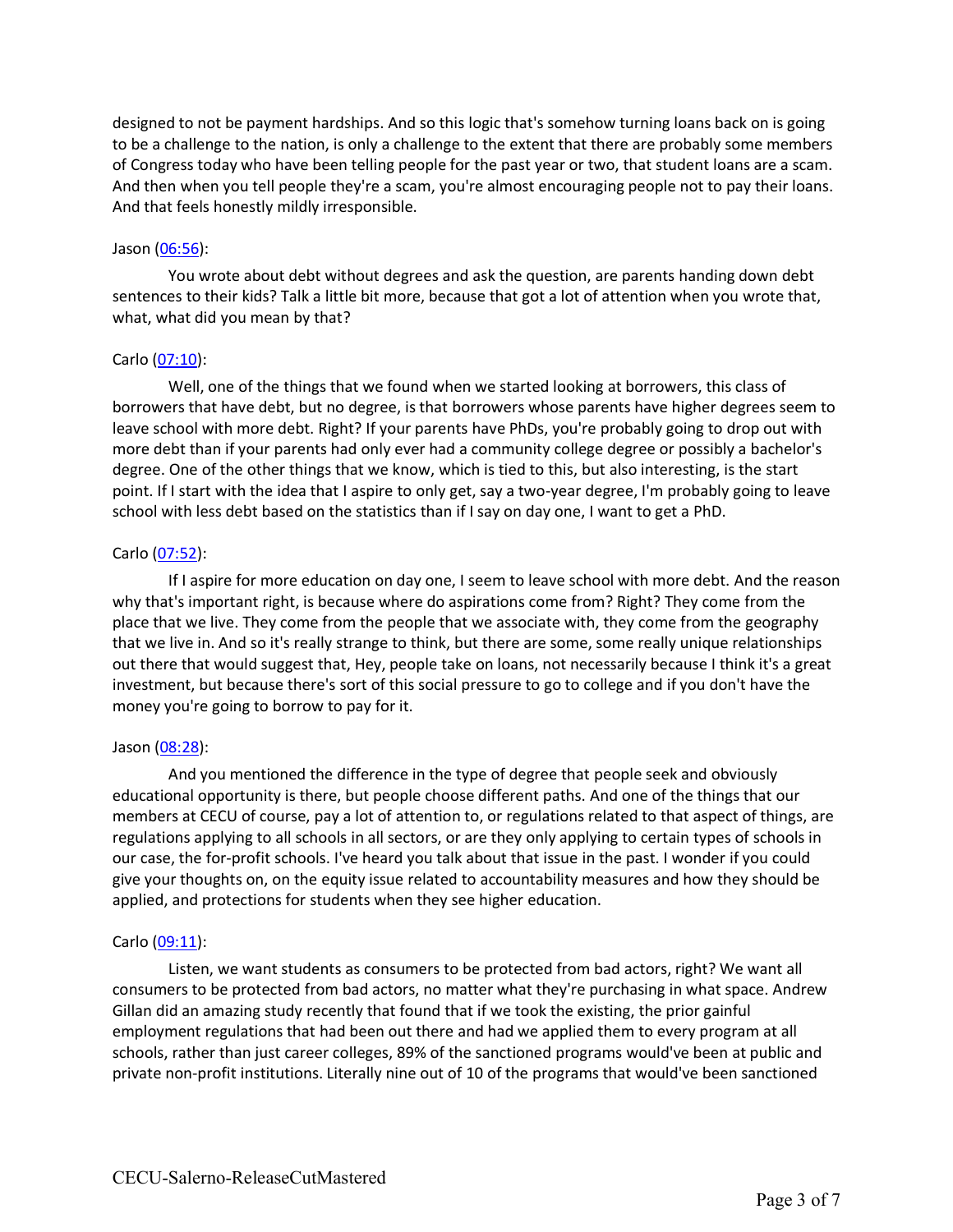designed to not be payment hardships. And so this logic that's somehow turning loans back on is going to be a challenge to the nation, is only a challenge to the extent that there are probably some members of Congress today who have been telling people for the past year or two, that student loans are a scam. And then when you tell people they're a scam, you're almost encouraging people not to pay their loans. And that feels honestly mildly irresponsible.

### Jason (06:56):

You wrote about debt without degrees and ask the question, are parents handing down debt sentences to their kids? Talk a little bit more, because that got a lot of attention when you wrote that, what, what did you mean by that?

# Carlo (07:10):

Well, one of the things that we found when we started looking at borrowers, this class of borrowers that have debt, but no degree, is that borrowers whose parents have higher degrees seem to leave school with more debt. Right? If your parents have PhDs, you're probably going to drop out with more debt than if your parents had only ever had a community college degree or possibly a bachelor's degree. One of the other things that we know, which is tied to this, but also interesting, is the start point. If I start with the idea that I aspire to only get, say a two-year degree, I'm probably going to leave school with less debt based on the statistics than if I say on day one, I want to get a PhD.

### Carlo (07:52):

If I aspire for more education on day one, I seem to leave school with more debt. And the reason why that's important right, is because where do aspirations come from? Right? They come from the place that we live. They come from the people that we associate with, they come from the geography that we live in. And so it's really strange to think, but there are some, some really unique relationships out there that would suggest that, Hey, people take on loans, not necessarily because I think it's a great investment, but because there's sort of this social pressure to go to college and if you don't have the money you're going to borrow to pay for it.

# Jason (08:28):

And you mentioned the difference in the type of degree that people seek and obviously educational opportunity is there, but people choose different paths. And one of the things that our members at CECU of course, pay a lot of attention to, or regulations related to that aspect of things, are regulations applying to all schools in all sectors, or are they only applying to certain types of schools in our case, the for-profit schools. I've heard you talk about that issue in the past. I wonder if you could give your thoughts on, on the equity issue related to accountability measures and how they should be applied, and protections for students when they see higher education.

# Carlo (09:11):

Listen, we want students as consumers to be protected from bad actors, right? We want all consumers to be protected from bad actors, no matter what they're purchasing in what space. Andrew Gillan did an amazing study recently that found that if we took the existing, the prior gainful employment regulations that had been out there and had we applied them to every program at all schools, rather than just career colleges, 89% of the sanctioned programs would've been at public and private non-profit institutions. Literally nine out of 10 of the programs that would've been sanctioned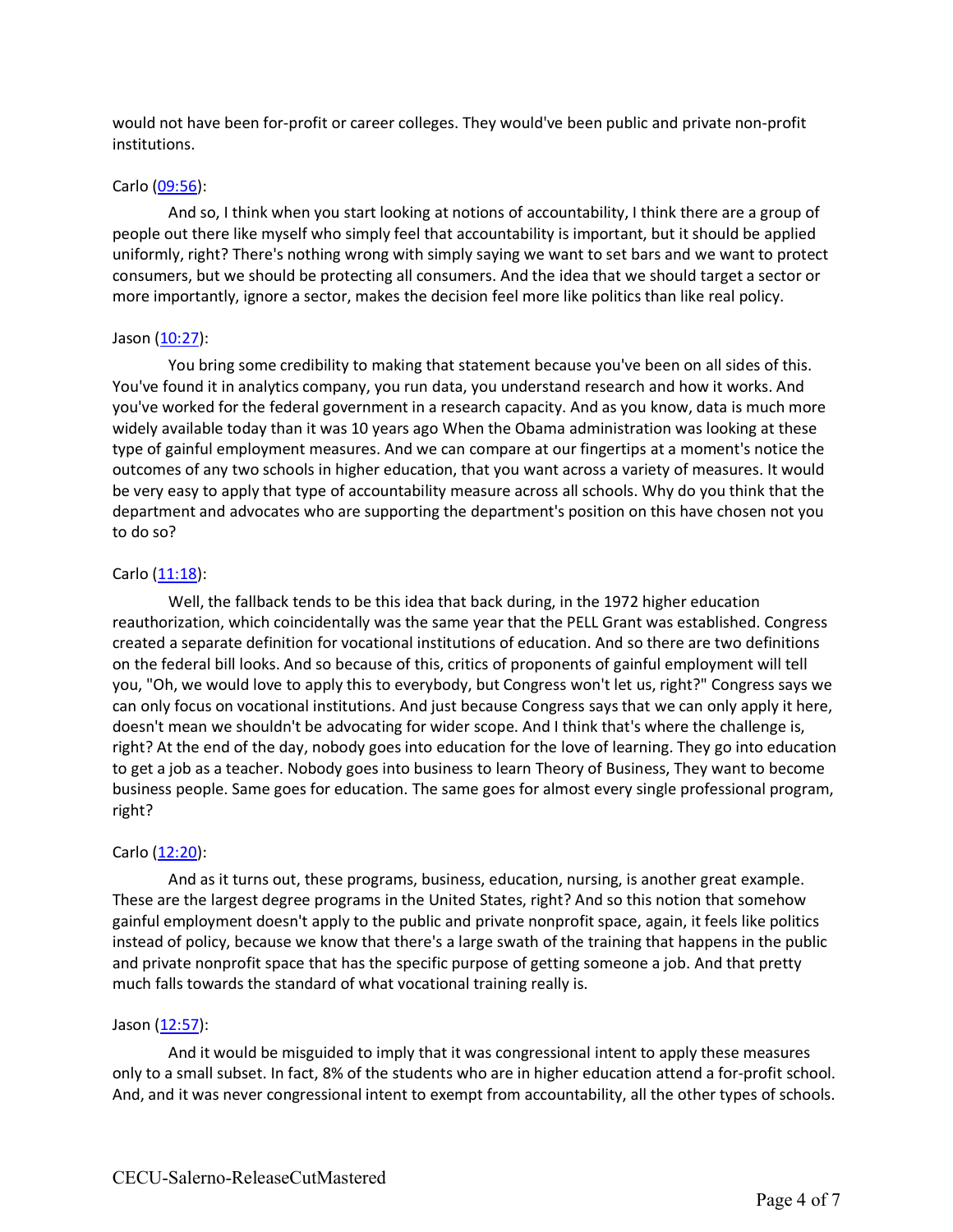would not have been for-profit or career colleges. They would've been public and private non-profit institutions.

### Carlo (09:56):

And so, I think when you start looking at notions of accountability, I think there are a group of people out there like myself who simply feel that accountability is important, but it should be applied uniformly, right? There's nothing wrong with simply saying we want to set bars and we want to protect consumers, but we should be protecting all consumers. And the idea that we should target a sector or more importantly, ignore a sector, makes the decision feel more like politics than like real policy.

### Jason (10:27):

You bring some credibility to making that statement because you've been on all sides of this. You've found it in analytics company, you run data, you understand research and how it works. And you've worked for the federal government in a research capacity. And as you know, data is much more widely available today than it was 10 years ago When the Obama administration was looking at these type of gainful employment measures. And we can compare at our fingertips at a moment's notice the outcomes of any two schools in higher education, that you want across a variety of measures. It would be very easy to apply that type of accountability measure across all schools. Why do you think that the department and advocates who are supporting the department's position on this have chosen not you to do so?

# Carlo (11:18):

Well, the fallback tends to be this idea that back during, in the 1972 higher education reauthorization, which coincidentally was the same year that the PELL Grant was established. Congress created a separate definition for vocational institutions of education. And so there are two definitions on the federal bill looks. And so because of this, critics of proponents of gainful employment will tell you, "Oh, we would love to apply this to everybody, but Congress won't let us, right?" Congress says we can only focus on vocational institutions. And just because Congress says that we can only apply it here, doesn't mean we shouldn't be advocating for wider scope. And I think that's where the challenge is, right? At the end of the day, nobody goes into education for the love of learning. They go into education to get a job as a teacher. Nobody goes into business to learn Theory of Business, They want to become business people. Same goes for education. The same goes for almost every single professional program, right?

# Carlo (12:20):

And as it turns out, these programs, business, education, nursing, is another great example. These are the largest degree programs in the United States, right? And so this notion that somehow gainful employment doesn't apply to the public and private nonprofit space, again, it feels like politics instead of policy, because we know that there's a large swath of the training that happens in the public and private nonprofit space that has the specific purpose of getting someone a job. And that pretty much falls towards the standard of what vocational training really is.

# Jason (12:57):

And it would be misguided to imply that it was congressional intent to apply these measures only to a small subset. In fact, 8% of the students who are in higher education attend a for-profit school. And, and it was never congressional intent to exempt from accountability, all the other types of schools.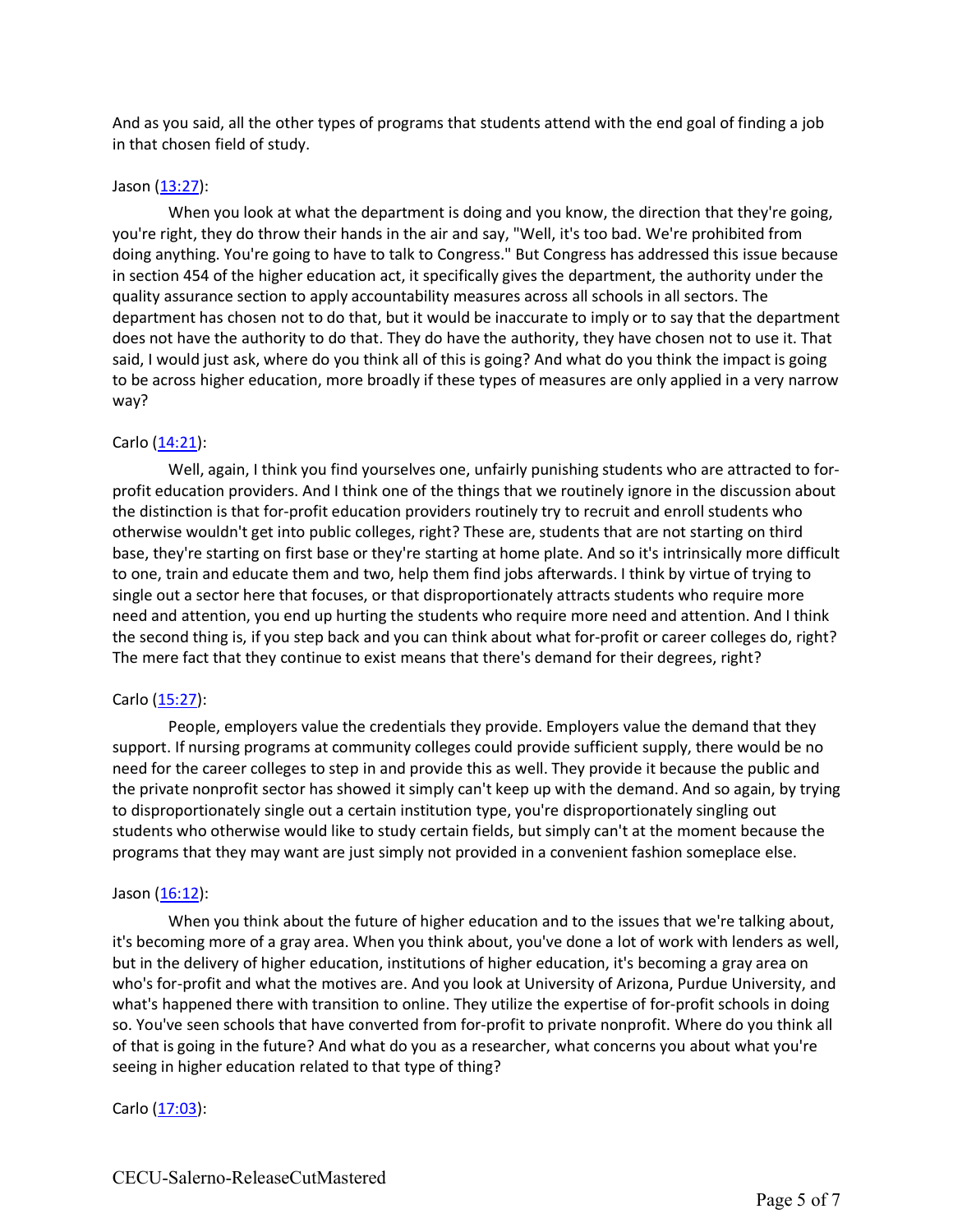And as you said, all the other types of programs that students attend with the end goal of finding a job in that chosen field of study.

### Jason (13:27):

When you look at what the department is doing and you know, the direction that they're going, you're right, they do throw their hands in the air and say, "Well, it's too bad. We're prohibited from doing anything. You're going to have to talk to Congress." But Congress has addressed this issue because in section 454 of the higher education act, it specifically gives the department, the authority under the quality assurance section to apply accountability measures across all schools in all sectors. The department has chosen not to do that, but it would be inaccurate to imply or to say that the department does not have the authority to do that. They do have the authority, they have chosen not to use it. That said, I would just ask, where do you think all of this is going? And what do you think the impact is going to be across higher education, more broadly if these types of measures are only applied in a very narrow way?

# Carlo (14:21):

Well, again, I think you find yourselves one, unfairly punishing students who are attracted to forprofit education providers. And I think one of the things that we routinely ignore in the discussion about the distinction is that for-profit education providers routinely try to recruit and enroll students who otherwise wouldn't get into public colleges, right? These are, students that are not starting on third base, they're starting on first base or they're starting at home plate. And so it's intrinsically more difficult to one, train and educate them and two, help them find jobs afterwards. I think by virtue of trying to single out a sector here that focuses, or that disproportionately attracts students who require more need and attention, you end up hurting the students who require more need and attention. And I think the second thing is, if you step back and you can think about what for-profit or career colleges do, right? The mere fact that they continue to exist means that there's demand for their degrees, right?

# Carlo (15:27):

People, employers value the credentials they provide. Employers value the demand that they support. If nursing programs at community colleges could provide sufficient supply, there would be no need for the career colleges to step in and provide this as well. They provide it because the public and the private nonprofit sector has showed it simply can't keep up with the demand. And so again, by trying to disproportionately single out a certain institution type, you're disproportionately singling out students who otherwise would like to study certain fields, but simply can't at the moment because the programs that they may want are just simply not provided in a convenient fashion someplace else.

#### Jason  $(16:12)$ :

When you think about the future of higher education and to the issues that we're talking about, it's becoming more of a gray area. When you think about, you've done a lot of work with lenders as well, but in the delivery of higher education, institutions of higher education, it's becoming a gray area on who's for-profit and what the motives are. And you look at University of Arizona, Purdue University, and what's happened there with transition to online. They utilize the expertise of for-profit schools in doing so. You've seen schools that have converted from for-profit to private nonprofit. Where do you think all of that is going in the future? And what do you as a researcher, what concerns you about what you're seeing in higher education related to that type of thing?

Carlo (17:03):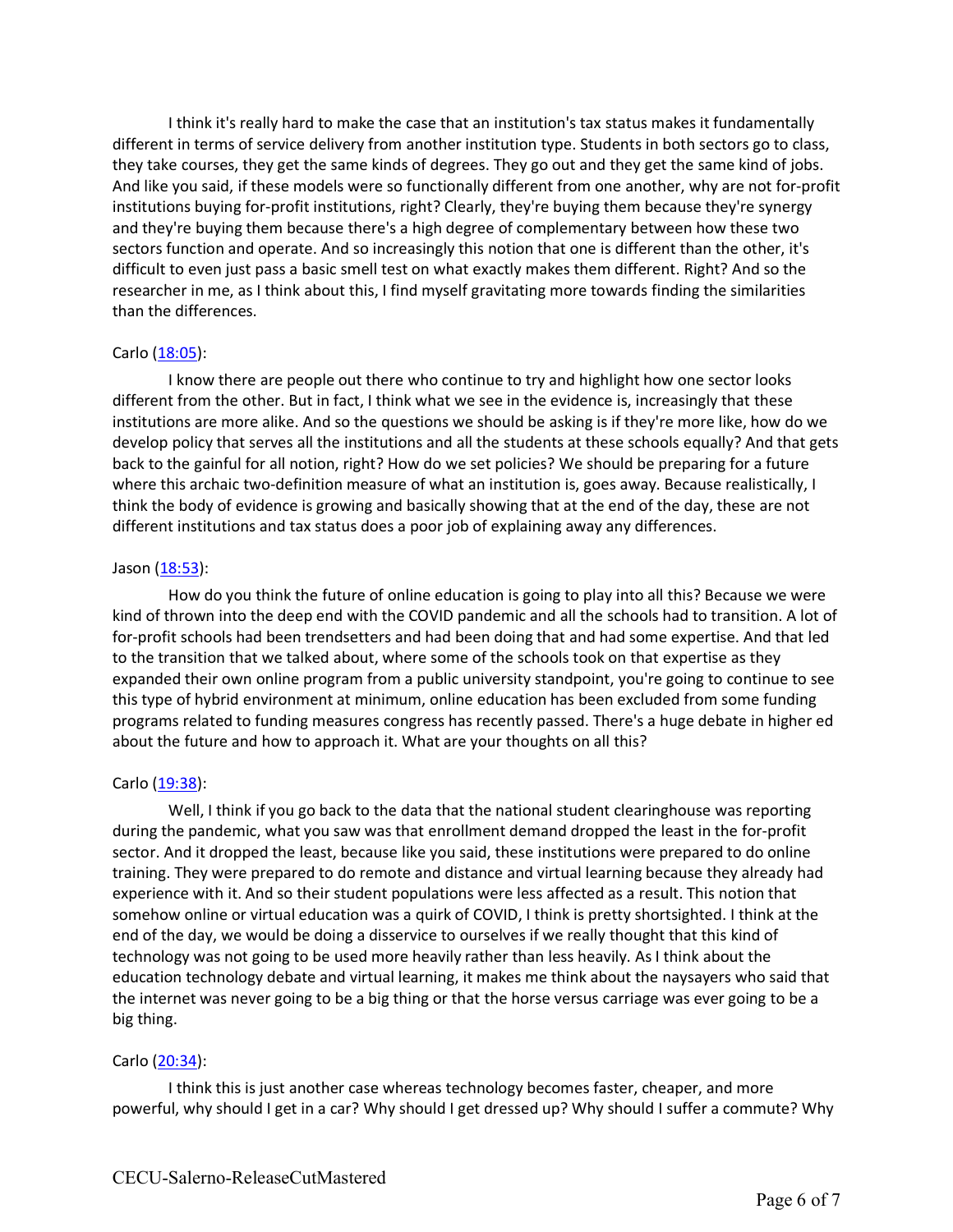I think it's really hard to make the case that an institution's tax status makes it fundamentally different in terms of service delivery from another institution type. Students in both sectors go to class, they take courses, they get the same kinds of degrees. They go out and they get the same kind of jobs. And like you said, if these models were so functionally different from one another, why are not for-profit institutions buying for-profit institutions, right? Clearly, they're buying them because they're synergy and they're buying them because there's a high degree of complementary between how these two sectors function and operate. And so increasingly this notion that one is different than the other, it's difficult to even just pass a basic smell test on what exactly makes them different. Right? And so the researcher in me, as I think about this, I find myself gravitating more towards finding the similarities than the differences.

### Carlo (18:05):

I know there are people out there who continue to try and highlight how one sector looks different from the other. But in fact, I think what we see in the evidence is, increasingly that these institutions are more alike. And so the questions we should be asking is if they're more like, how do we develop policy that serves all the institutions and all the students at these schools equally? And that gets back to the gainful for all notion, right? How do we set policies? We should be preparing for a future where this archaic two-definition measure of what an institution is, goes away. Because realistically, I think the body of evidence is growing and basically showing that at the end of the day, these are not different institutions and tax status does a poor job of explaining away any differences.

### Jason (18:53):

How do you think the future of online education is going to play into all this? Because we were kind of thrown into the deep end with the COVID pandemic and all the schools had to transition. A lot of for-profit schools had been trendsetters and had been doing that and had some expertise. And that led to the transition that we talked about, where some of the schools took on that expertise as they expanded their own online program from a public university standpoint, you're going to continue to see this type of hybrid environment at minimum, online education has been excluded from some funding programs related to funding measures congress has recently passed. There's a huge debate in higher ed about the future and how to approach it. What are your thoughts on all this?

# Carlo (19:38):

Well, I think if you go back to the data that the national student clearinghouse was reporting during the pandemic, what you saw was that enrollment demand dropped the least in the for-profit sector. And it dropped the least, because like you said, these institutions were prepared to do online training. They were prepared to do remote and distance and virtual learning because they already had experience with it. And so their student populations were less affected as a result. This notion that somehow online or virtual education was a quirk of COVID, I think is pretty shortsighted. I think at the end of the day, we would be doing a disservice to ourselves if we really thought that this kind of technology was not going to be used more heavily rather than less heavily. As I think about the education technology debate and virtual learning, it makes me think about the naysayers who said that the internet was never going to be a big thing or that the horse versus carriage was ever going to be a big thing.

# Carlo (20:34):

I think this is just another case whereas technology becomes faster, cheaper, and more powerful, why should I get in a car? Why should I get dressed up? Why should I suffer a commute? Why